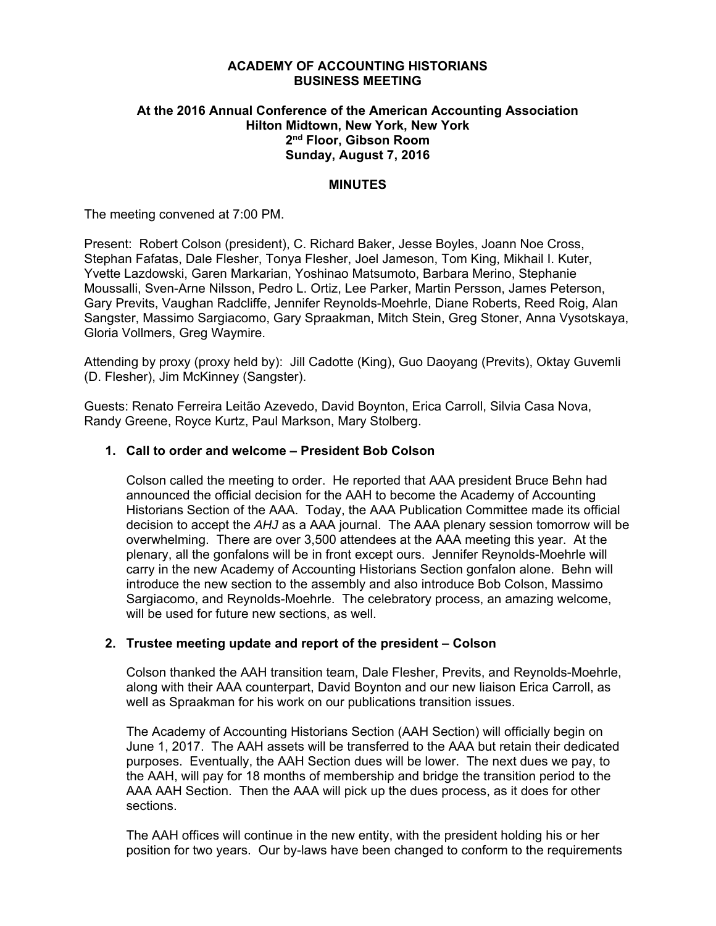### **ACADEMY OF ACCOUNTING HISTORIANS BUSINESS MEETING**

# **At the 2016 Annual Conference of the American Accounting Association Hilton Midtown, New York, New York 2nd Floor, Gibson Room Sunday, August 7, 2016**

#### **MINUTES**

The meeting convened at 7:00 PM.

Present: Robert Colson (president), C. Richard Baker, Jesse Boyles, Joann Noe Cross, Stephan Fafatas, Dale Flesher, Tonya Flesher, Joel Jameson, Tom King, Mikhail I. Kuter, Yvette Lazdowski, Garen Markarian, Yoshinao Matsumoto, Barbara Merino, Stephanie Moussalli, Sven-Arne Nilsson, Pedro L. Ortiz, Lee Parker, Martin Persson, James Peterson, Gary Previts, Vaughan Radcliffe, Jennifer Reynolds-Moehrle, Diane Roberts, Reed Roig, Alan Sangster, Massimo Sargiacomo, Gary Spraakman, Mitch Stein, Greg Stoner, Anna Vysotskaya, Gloria Vollmers, Greg Waymire.

Attending by proxy (proxy held by): Jill Cadotte (King), Guo Daoyang (Previts), Oktay Guvemli (D. Flesher), Jim McKinney (Sangster).

Guests: Renato Ferreira Leitão Azevedo, David Boynton, Erica Carroll, Silvia Casa Nova, Randy Greene, Royce Kurtz, Paul Markson, Mary Stolberg.

#### **1. Call to order and welcome – President Bob Colson**

Colson called the meeting to order. He reported that AAA president Bruce Behn had announced the official decision for the AAH to become the Academy of Accounting Historians Section of the AAA. Today, the AAA Publication Committee made its official decision to accept the *AHJ* as a AAA journal. The AAA plenary session tomorrow will be overwhelming. There are over 3,500 attendees at the AAA meeting this year. At the plenary, all the gonfalons will be in front except ours. Jennifer Reynolds-Moehrle will carry in the new Academy of Accounting Historians Section gonfalon alone. Behn will introduce the new section to the assembly and also introduce Bob Colson, Massimo Sargiacomo, and Reynolds-Moehrle. The celebratory process, an amazing welcome, will be used for future new sections, as well.

### **2. Trustee meeting update and report of the president – Colson**

Colson thanked the AAH transition team, Dale Flesher, Previts, and Reynolds-Moehrle, along with their AAA counterpart, David Boynton and our new liaison Erica Carroll, as well as Spraakman for his work on our publications transition issues.

The Academy of Accounting Historians Section (AAH Section) will officially begin on June 1, 2017. The AAH assets will be transferred to the AAA but retain their dedicated purposes. Eventually, the AAH Section dues will be lower. The next dues we pay, to the AAH, will pay for 18 months of membership and bridge the transition period to the AAA AAH Section. Then the AAA will pick up the dues process, as it does for other sections.

The AAH offices will continue in the new entity, with the president holding his or her position for two years. Our by-laws have been changed to conform to the requirements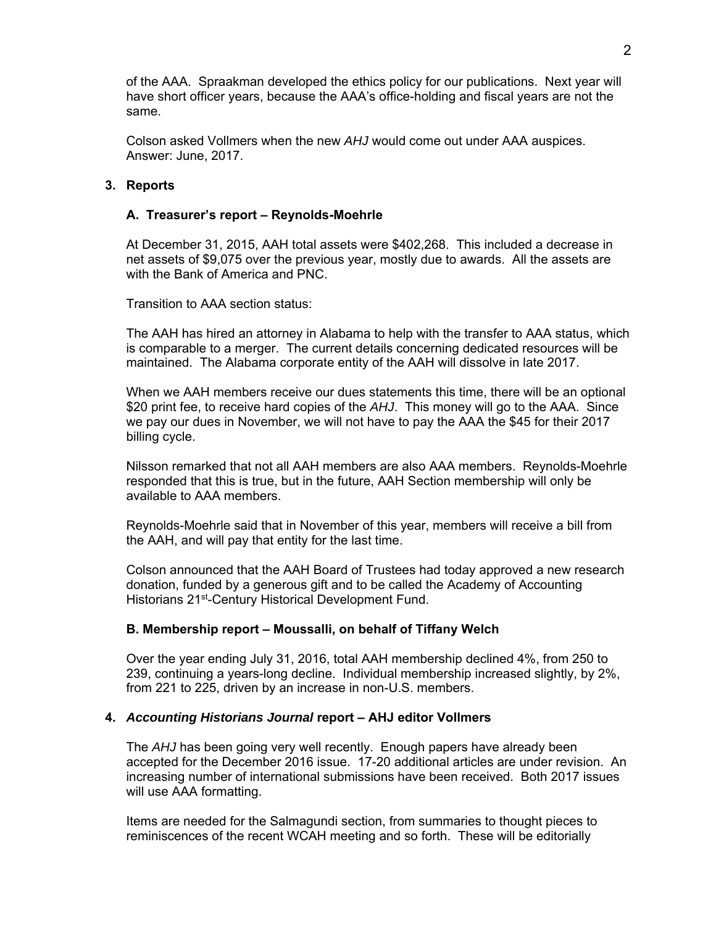of the AAA. Spraakman developed the ethics policy for our publications. Next year will have short officer years, because the AAA's office-holding and fiscal years are not the same.

Colson asked Vollmers when the new *AHJ* would come out under AAA auspices. Answer: June, 2017.

## **3. Reports**

## **A. Treasurer's report – Reynolds-Moehrle**

At December 31, 2015, AAH total assets were \$402,268. This included a decrease in net assets of \$9,075 over the previous year, mostly due to awards. All the assets are with the Bank of America and PNC.

Transition to AAA section status:

The AAH has hired an attorney in Alabama to help with the transfer to AAA status, which is comparable to a merger. The current details concerning dedicated resources will be maintained. The Alabama corporate entity of the AAH will dissolve in late 2017.

When we AAH members receive our dues statements this time, there will be an optional \$20 print fee, to receive hard copies of the *AHJ*. This money will go to the AAA. Since we pay our dues in November, we will not have to pay the AAA the \$45 for their 2017 billing cycle.

Nilsson remarked that not all AAH members are also AAA members. Reynolds-Moehrle responded that this is true, but in the future, AAH Section membership will only be available to AAA members.

Reynolds-Moehrle said that in November of this year, members will receive a bill from the AAH, and will pay that entity for the last time.

Colson announced that the AAH Board of Trustees had today approved a new research donation, funded by a generous gift and to be called the Academy of Accounting Historians 21st-Century Historical Development Fund.

### **B. Membership report – Moussalli, on behalf of Tiffany Welch**

Over the year ending July 31, 2016, total AAH membership declined 4%, from 250 to 239, continuing a years-long decline. Individual membership increased slightly, by 2%, from 221 to 225, driven by an increase in non-U.S. members.

### **4.** *Accounting Historians Journal* **report – AHJ editor Vollmers**

The *AHJ* has been going very well recently. Enough papers have already been accepted for the December 2016 issue. 17-20 additional articles are under revision. An increasing number of international submissions have been received. Both 2017 issues will use AAA formatting.

Items are needed for the Salmagundi section, from summaries to thought pieces to reminiscences of the recent WCAH meeting and so forth. These will be editorially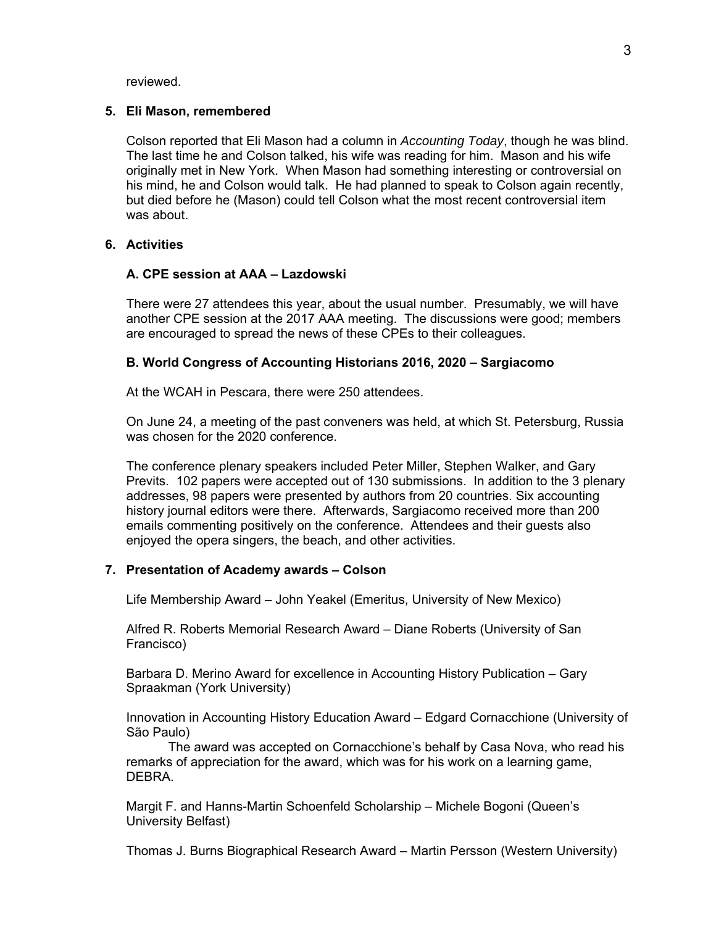reviewed.

#### **5. Eli Mason, remembered**

Colson reported that Eli Mason had a column in *Accounting Today*, though he was blind. The last time he and Colson talked, his wife was reading for him. Mason and his wife originally met in New York. When Mason had something interesting or controversial on his mind, he and Colson would talk. He had planned to speak to Colson again recently, but died before he (Mason) could tell Colson what the most recent controversial item was about.

## **6. Activities**

### **A. CPE session at AAA – Lazdowski**

There were 27 attendees this year, about the usual number. Presumably, we will have another CPE session at the 2017 AAA meeting. The discussions were good; members are encouraged to spread the news of these CPEs to their colleagues.

### **B. World Congress of Accounting Historians 2016, 2020 – Sargiacomo**

At the WCAH in Pescara, there were 250 attendees.

On June 24, a meeting of the past conveners was held, at which St. Petersburg, Russia was chosen for the 2020 conference.

The conference plenary speakers included Peter Miller, Stephen Walker, and Gary Previts. 102 papers were accepted out of 130 submissions. In addition to the 3 plenary addresses, 98 papers were presented by authors from 20 countries. Six accounting history journal editors were there. Afterwards, Sargiacomo received more than 200 emails commenting positively on the conference. Attendees and their guests also enjoyed the opera singers, the beach, and other activities.

### **7. Presentation of Academy awards – Colson**

Life Membership Award – John Yeakel (Emeritus, University of New Mexico)

Alfred R. Roberts Memorial Research Award – Diane Roberts (University of San Francisco)

Barbara D. Merino Award for excellence in Accounting History Publication – Gary Spraakman (York University)

Innovation in Accounting History Education Award – Edgard Cornacchione (University of São Paulo)

 The award was accepted on Cornacchione's behalf by Casa Nova, who read his remarks of appreciation for the award, which was for his work on a learning game, DEBRA.

Margit F. and Hanns-Martin Schoenfeld Scholarship – Michele Bogoni (Queen's University Belfast)

Thomas J. Burns Biographical Research Award – Martin Persson (Western University)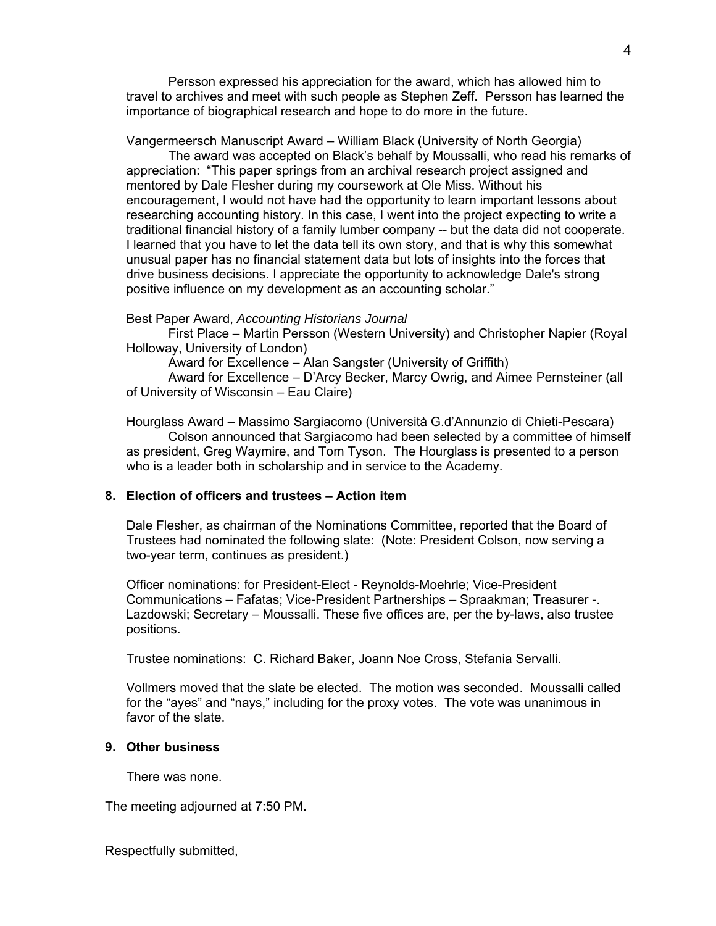Persson expressed his appreciation for the award, which has allowed him to travel to archives and meet with such people as Stephen Zeff. Persson has learned the importance of biographical research and hope to do more in the future.

Vangermeersch Manuscript Award – William Black (University of North Georgia)

 The award was accepted on Black's behalf by Moussalli, who read his remarks of appreciation: "This paper springs from an archival research project assigned and mentored by Dale Flesher during my coursework at Ole Miss. Without his encouragement, I would not have had the opportunity to learn important lessons about researching accounting history. In this case, I went into the project expecting to write a traditional financial history of a family lumber company -- but the data did not cooperate. I learned that you have to let the data tell its own story, and that is why this somewhat unusual paper has no financial statement data but lots of insights into the forces that drive business decisions. I appreciate the opportunity to acknowledge Dale's strong positive influence on my development as an accounting scholar."

Best Paper Award, *Accounting Historians Journal*

 First Place – Martin Persson (Western University) and Christopher Napier (Royal Holloway, University of London)

Award for Excellence – Alan Sangster (University of Griffith)

 Award for Excellence – D'Arcy Becker, Marcy Owrig, and Aimee Pernsteiner (all of University of Wisconsin – Eau Claire)

Hourglass Award – Massimo Sargiacomo (Università G.d'Annunzio di Chieti-Pescara) Colson announced that Sargiacomo had been selected by a committee of himself as president, Greg Waymire, and Tom Tyson. The Hourglass is presented to a person who is a leader both in scholarship and in service to the Academy.

# **8. Election of officers and trustees – Action item**

Dale Flesher, as chairman of the Nominations Committee, reported that the Board of Trustees had nominated the following slate: (Note: President Colson, now serving a two-year term, continues as president.)

Officer nominations: for President-Elect - Reynolds-Moehrle; Vice-President Communications – Fafatas; Vice-President Partnerships – Spraakman; Treasurer -. Lazdowski; Secretary – Moussalli. These five offices are, per the by-laws, also trustee positions.

Trustee nominations: C. Richard Baker, Joann Noe Cross, Stefania Servalli.

Vollmers moved that the slate be elected. The motion was seconded. Moussalli called for the "ayes" and "nays," including for the proxy votes. The vote was unanimous in favor of the slate.

# **9. Other business**

There was none.

The meeting adjourned at 7:50 PM.

Respectfully submitted,